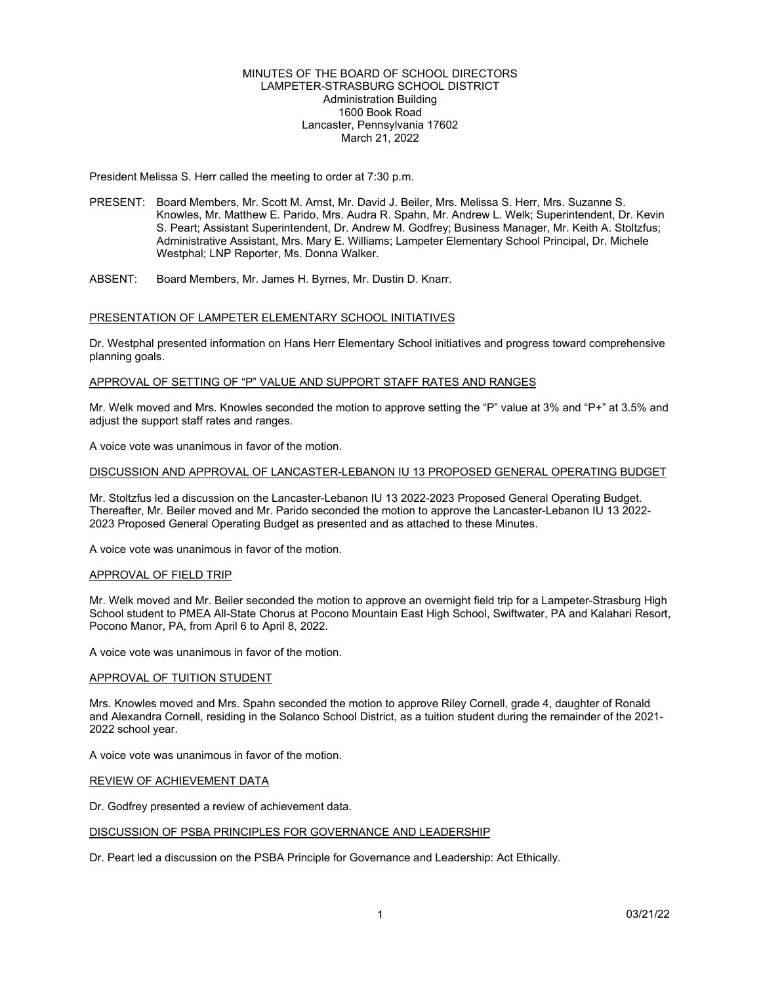#### MINUTES OF THE BOARD OF SCHOOL DIRECTORS LAMPETER-STRASBURG SCHOOL DISTRICT Administration Building 1600 Book Road Lancaster, Pennsylvania 17602 March 21, 2022

President Melissa S. Herr called the meeting to order at 7:30 p.m.

- PRESENT: Board Members, Mr. Scott M. Arnst, Mr. David J. Beiler, Mrs. Melissa S. Herr, Mrs. Suzanne S. Knowles, Mr. Matthew E. Parido, Mrs. Audra R. Spahn, Mr. Andrew L. Welk; Superintendent, Dr. Kevin S. Peart; Assistant Superintendent, Dr. Andrew M. Godfrey; Business Manager, Mr. Keith A. Stoltzfus; Administrative Assistant, Mrs. Mary E. Williams; Lampeter Elementary School Principal, Dr. Michele Westphal; LNP Reporter, Ms. Donna Walker.
- ABSENT: Board Members, Mr. James H. Byrnes, Mr. Dustin D. Knarr.

### PRESENTATION OF LAMPETER ELEMENTARY SCHOOL INITIATIVES

Dr. Westphal presented information on Hans Herr Elementary School initiatives and progress toward comprehensive planning goals.

### APPROVAL OF SETTING OF "P" VALUE AND SUPPORT STAFF RATES AND RANGES

Mr. Welk moved and Mrs. Knowles seconded the motion to approve setting the "P" value at 3% and "P+" at 3.5% and adjust the support staff rates and ranges.

A voice vote was unanimous in favor of the motion.

#### DISCUSSION AND APPROVAL OF LANCASTER-LEBANON IU 13 PROPOSED GENERAL OPERATING BUDGET

Mr. Stoltzfus led a discussion on the Lancaster-Lebanon IU 13 2022-2023 Proposed General Operating Budget. Thereafter, Mr. Beiler moved and Mr. Parido seconded the motion to approve the Lancaster-Lebanon IU 13 2022- 2023 Proposed General Operating Budget as presented and as attached to these Minutes.

A voice vote was unanimous in favor of the motion.

# APPROVAL OF FIELD TRIP

Mr. Welk moved and Mr. Beiler seconded the motion to approve an overnight field trip for a Lampeter-Strasburg High School student to PMEA All-State Chorus at Pocono Mountain East High School, Swiftwater, PA and Kalahari Resort, Pocono Manor, PA, from April 6 to April 8, 2022.

A voice vote was unanimous in favor of the motion.

#### APPROVAL OF TUITION STUDENT

Mrs. Knowles moved and Mrs. Spahn seconded the motion to approve Riley Cornell, grade 4, daughter of Ronald and Alexandra Cornell, residing in the Solanco School District, as a tuition student during the remainder of the 2021- 2022 school year.

A voice vote was unanimous in favor of the motion.

#### REVIEW OF ACHIEVEMENT DATA

Dr. Godfrey presented a review of achievement data.

#### DISCUSSION OF PSBA PRINCIPLES FOR GOVERNANCE AND LEADERSHIP

Dr. Peart led a discussion on the PSBA Principle for Governance and Leadership: Act Ethically.